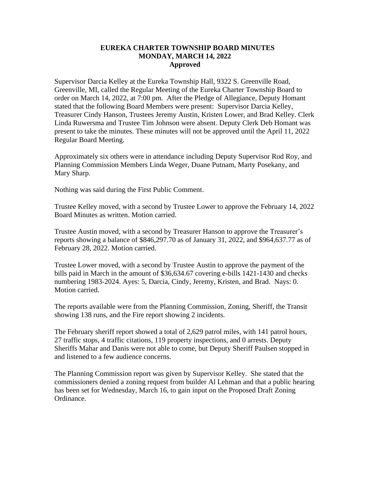## **EUREKA CHARTER TOWNSHIP BOARD MINUTES MONDAY, MARCH 14, 2022 Approved**

Supervisor Darcia Kelley at the Eureka Township Hall, 9322 S. Greenville Road, Greenville, MI, called the Regular Meeting of the Eureka Charter Township Board to order on March 14, 2022, at 7:00 pm. After the Pledge of Allegiance, Deputy Homant stated that the following Board Members were present: Supervisor Darcia Kelley, Treasurer Cindy Hanson, Trustees Jeremy Austin, Kristen Lower, and Brad Kelley. Clerk Linda Ruwersma and Trustee Tim Johnson were absent. Deputy Clerk Deb Homant was present to take the minutes. These minutes will not be approved until the April 11, 2022 Regular Board Meeting.

Approximately six others were in attendance including Deputy Supervisor Rod Roy, and Planning Commission Members Linda Weger, Duane Putnam, Marty Posekany, and Mary Sharp.

Nothing was said during the First Public Comment.

Trustee Kelley moved, with a second by Trustee Lower to approve the February 14, 2022 Board Minutes as written. Motion carried.

Trustee Austin moved, with a second by Treasurer Hanson to approve the Treasurer's reports showing a balance of \$846,297.70 as of January 31, 2022, and \$964,637.77 as of February 28, 2022. Motion carried.

Trustee Lower moved, with a second by Trustee Austin to approve the payment of the bills paid in March in the amount of \$36,634.67 covering e-bills 1421-1430 and checks numbering 1983-2024. Ayes: 5, Darcia, Cindy, Jeremy, Kristen, and Brad. Nays: 0. Motion carried.

The reports available were from the Planning Commission, Zoning, Sheriff, the Transit showing 138 runs, and the Fire report showing 2 incidents.

The February sheriff report showed a total of 2,629 patrol miles, with 141 patrol hours, 27 traffic stops, 4 traffic citations, 119 property inspections, and 0 arrests. Deputy Sheriffs Mahar and Danis were not able to come, but Deputy Sheriff Paulsen stopped in and listened to a few audience concerns.

The Planning Commission report was given by Supervisor Kelley. She stated that the commissioners denied a zoning request from builder Al Lehman and that a public hearing has been set for Wednesday, March 16, to gain input on the Proposed Draft Zoning Ordinance.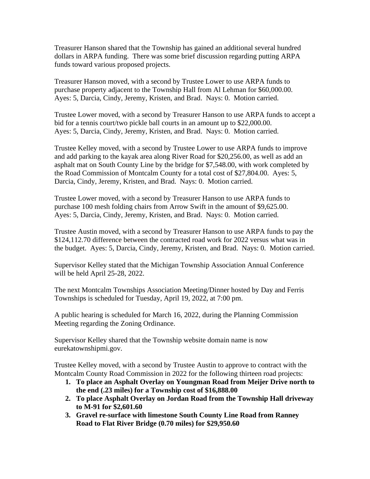Treasurer Hanson shared that the Township has gained an additional several hundred dollars in ARPA funding. There was some brief discussion regarding putting ARPA funds toward various proposed projects.

Treasurer Hanson moved, with a second by Trustee Lower to use ARPA funds to purchase property adjacent to the Township Hall from Al Lehman for \$60,000.00. Ayes: 5, Darcia, Cindy, Jeremy, Kristen, and Brad. Nays: 0. Motion carried.

Trustee Lower moved, with a second by Treasurer Hanson to use ARPA funds to accept a bid for a tennis court/two pickle ball courts in an amount up to \$22,000.00. Ayes: 5, Darcia, Cindy, Jeremy, Kristen, and Brad. Nays: 0. Motion carried.

Trustee Kelley moved, with a second by Trustee Lower to use ARPA funds to improve and add parking to the kayak area along River Road for \$20,256.00, as well as add an asphalt mat on South County Line by the bridge for \$7,548.00, with work completed by the Road Commission of Montcalm County for a total cost of \$27,804.00. Ayes: 5, Darcia, Cindy, Jeremy, Kristen, and Brad. Nays: 0. Motion carried.

Trustee Lower moved, with a second by Treasurer Hanson to use ARPA funds to purchase 100 mesh folding chairs from Arrow Swift in the amount of \$9,625.00. Ayes: 5, Darcia, Cindy, Jeremy, Kristen, and Brad. Nays: 0. Motion carried.

Trustee Austin moved, with a second by Treasurer Hanson to use ARPA funds to pay the \$124,112.70 difference between the contracted road work for 2022 versus what was in the budget. Ayes: 5, Darcia, Cindy, Jeremy, Kristen, and Brad. Nays: 0. Motion carried.

Supervisor Kelley stated that the Michigan Township Association Annual Conference will be held April 25-28, 2022.

The next Montcalm Townships Association Meeting/Dinner hosted by Day and Ferris Townships is scheduled for Tuesday, April 19, 2022, at 7:00 pm.

A public hearing is scheduled for March 16, 2022, during the Planning Commission Meeting regarding the Zoning Ordinance.

Supervisor Kelley shared that the Township website domain name is now eurekatownshipmi.gov.

Trustee Kelley moved, with a second by Trustee Austin to approve to contract with the Montcalm County Road Commission in 2022 for the following thirteen road projects:

- **1. To place an Asphalt Overlay on Youngman Road from Meijer Drive north to the end (.23 miles) for a Township cost of \$16,888.00**
- **2. To place Asphalt Overlay on Jordan Road from the Township Hall driveway to M-91 for \$2,601.60**
- **3. Gravel re-surface with limestone South County Line Road from Ranney Road to Flat River Bridge (0.70 miles) for \$29,950.60**